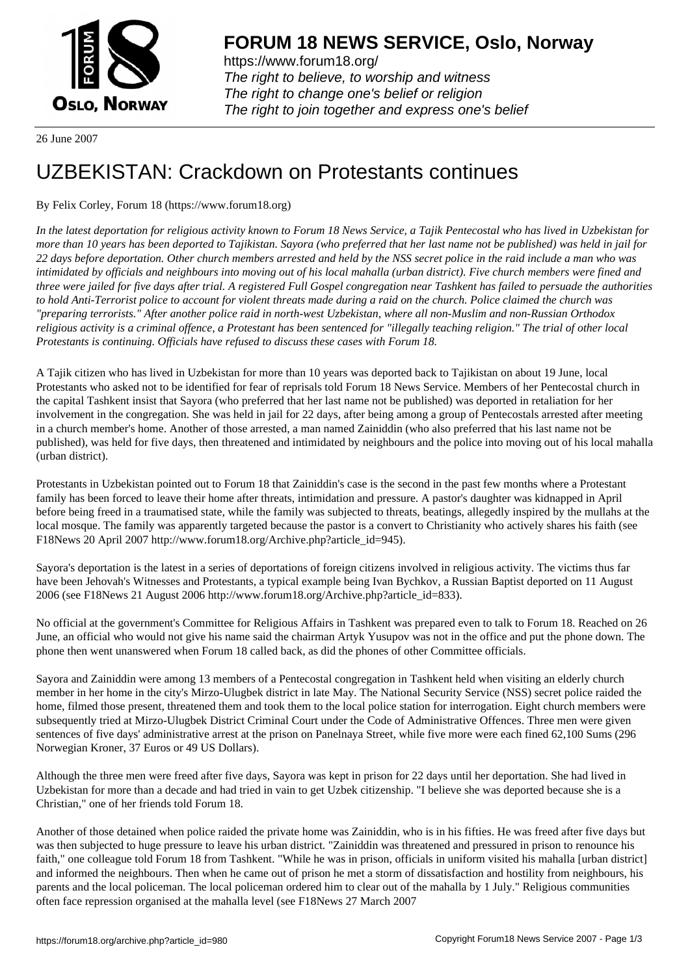

https://www.forum18.org/ The right to believe, to worship and witness The right to change one's belief or religion [The right to join together a](https://www.forum18.org/)nd express one's belief

26 June 2007

## [UZBEKISTAN:](https://www.forum18.org) Crackdown on Protestants continues

## By Felix Corley, Forum 18 (https://www.forum18.org)

*In the latest deportation for religious activity known to Forum 18 News Service, a Tajik Pentecostal who has lived in Uzbekistan for more than 10 years has been deported to Tajikistan. Sayora (who preferred that her last name not be published) was held in jail for 22 days before deportation. Other church members arrested and held by the NSS secret police in the raid include a man who was intimidated by officials and neighbours into moving out of his local mahalla (urban district). Five church members were fined and three were jailed for five days after trial. A registered Full Gospel congregation near Tashkent has failed to persuade the authorities to hold Anti-Terrorist police to account for violent threats made during a raid on the church. Police claimed the church was "preparing terrorists." After another police raid in north-west Uzbekistan, where all non-Muslim and non-Russian Orthodox religious activity is a criminal offence, a Protestant has been sentenced for "illegally teaching religion." The trial of other local Protestants is continuing. Officials have refused to discuss these cases with Forum 18.*

A Tajik citizen who has lived in Uzbekistan for more than 10 years was deported back to Tajikistan on about 19 June, local Protestants who asked not to be identified for fear of reprisals told Forum 18 News Service. Members of her Pentecostal church in the capital Tashkent insist that Sayora (who preferred that her last name not be published) was deported in retaliation for her involvement in the congregation. She was held in jail for 22 days, after being among a group of Pentecostals arrested after meeting in a church member's home. Another of those arrested, a man named Zainiddin (who also preferred that his last name not be published), was held for five days, then threatened and intimidated by neighbours and the police into moving out of his local mahalla (urban district).

Protestants in Uzbekistan pointed out to Forum 18 that Zainiddin's case is the second in the past few months where a Protestant family has been forced to leave their home after threats, intimidation and pressure. A pastor's daughter was kidnapped in April before being freed in a traumatised state, while the family was subjected to threats, beatings, allegedly inspired by the mullahs at the local mosque. The family was apparently targeted because the pastor is a convert to Christianity who actively shares his faith (see F18News 20 April 2007 http://www.forum18.org/Archive.php?article\_id=945).

Sayora's deportation is the latest in a series of deportations of foreign citizens involved in religious activity. The victims thus far have been Jehovah's Witnesses and Protestants, a typical example being Ivan Bychkov, a Russian Baptist deported on 11 August 2006 (see F18News 21 August 2006 http://www.forum18.org/Archive.php?article\_id=833).

No official at the government's Committee for Religious Affairs in Tashkent was prepared even to talk to Forum 18. Reached on 26 June, an official who would not give his name said the chairman Artyk Yusupov was not in the office and put the phone down. The phone then went unanswered when Forum 18 called back, as did the phones of other Committee officials.

Sayora and Zainiddin were among 13 members of a Pentecostal congregation in Tashkent held when visiting an elderly church member in her home in the city's Mirzo-Ulugbek district in late May. The National Security Service (NSS) secret police raided the home, filmed those present, threatened them and took them to the local police station for interrogation. Eight church members were subsequently tried at Mirzo-Ulugbek District Criminal Court under the Code of Administrative Offences. Three men were given sentences of five days' administrative arrest at the prison on Panelnaya Street, while five more were each fined 62,100 Sums (296 Norwegian Kroner, 37 Euros or 49 US Dollars).

Although the three men were freed after five days, Sayora was kept in prison for 22 days until her deportation. She had lived in Uzbekistan for more than a decade and had tried in vain to get Uzbek citizenship. "I believe she was deported because she is a Christian," one of her friends told Forum 18.

Another of those detained when police raided the private home was Zainiddin, who is in his fifties. He was freed after five days but was then subjected to huge pressure to leave his urban district. "Zainiddin was threatened and pressured in prison to renounce his faith," one colleague told Forum 18 from Tashkent. "While he was in prison, officials in uniform visited his mahalla [urban district] and informed the neighbours. Then when he came out of prison he met a storm of dissatisfaction and hostility from neighbours, his parents and the local policeman. The local policeman ordered him to clear out of the mahalla by 1 July." Religious communities often face repression organised at the mahalla level (see F18News 27 March 2007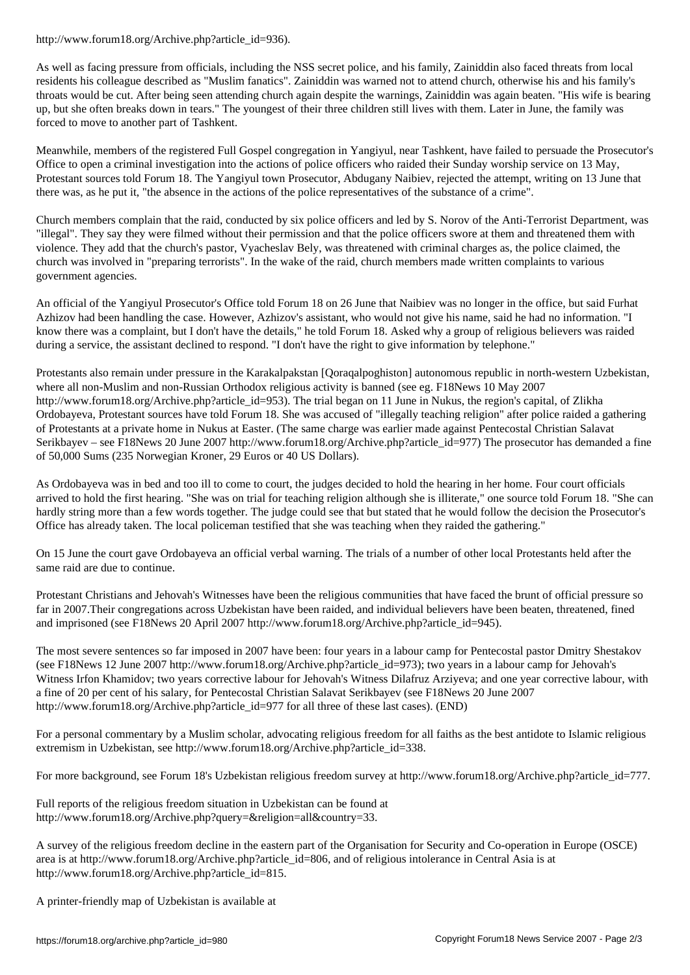As well as facing pressure from officials, including the NSS secret police, and his family, Zainiddin also faced threats from local residents his colleague described as "Muslim fanatics". Zainiddin was warned not to attend church, otherwise his and his family's throats would be cut. After being seen attending church again despite the warnings, Zainiddin was again beaten. "His wife is bearing up, but she often breaks down in tears." The youngest of their three children still lives with them. Later in June, the family was forced to move to another part of Tashkent.

Meanwhile, members of the registered Full Gospel congregation in Yangiyul, near Tashkent, have failed to persuade the Prosecutor's Office to open a criminal investigation into the actions of police officers who raided their Sunday worship service on 13 May, Protestant sources told Forum 18. The Yangiyul town Prosecutor, Abdugany Naibiev, rejected the attempt, writing on 13 June that there was, as he put it, "the absence in the actions of the police representatives of the substance of a crime".

Church members complain that the raid, conducted by six police officers and led by S. Norov of the Anti-Terrorist Department, was "illegal". They say they were filmed without their permission and that the police officers swore at them and threatened them with violence. They add that the church's pastor, Vyacheslav Bely, was threatened with criminal charges as, the police claimed, the church was involved in "preparing terrorists". In the wake of the raid, church members made written complaints to various government agencies.

An official of the Yangiyul Prosecutor's Office told Forum 18 on 26 June that Naibiev was no longer in the office, but said Furhat Azhizov had been handling the case. However, Azhizov's assistant, who would not give his name, said he had no information. "I know there was a complaint, but I don't have the details," he told Forum 18. Asked why a group of religious believers was raided during a service, the assistant declined to respond. "I don't have the right to give information by telephone."

Protestants also remain under pressure in the Karakalpakstan [Qoraqalpoghiston] autonomous republic in north-western Uzbekistan, where all non-Muslim and non-Russian Orthodox religious activity is banned (see eg. F18News 10 May 2007 http://www.forum18.org/Archive.php?article\_id=953). The trial began on 11 June in Nukus, the region's capital, of Zlikha Ordobayeva, Protestant sources have told Forum 18. She was accused of "illegally teaching religion" after police raided a gathering of Protestants at a private home in Nukus at Easter. (The same charge was earlier made against Pentecostal Christian Salavat Serikbayev – see F18News 20 June 2007 http://www.forum18.org/Archive.php?article\_id=977) The prosecutor has demanded a fine of 50,000 Sums (235 Norwegian Kroner, 29 Euros or 40 US Dollars).

As Ordobayeva was in bed and too ill to come to court, the judges decided to hold the hearing in her home. Four court officials arrived to hold the first hearing. "She was on trial for teaching religion although she is illiterate," one source told Forum 18. "She can hardly string more than a few words together. The judge could see that but stated that he would follow the decision the Prosecutor's Office has already taken. The local policeman testified that she was teaching when they raided the gathering."

On 15 June the court gave Ordobayeva an official verbal warning. The trials of a number of other local Protestants held after the same raid are due to continue.

Protestant Christians and Jehovah's Witnesses have been the religious communities that have faced the brunt of official pressure so far in 2007.Their congregations across Uzbekistan have been raided, and individual believers have been beaten, threatened, fined and imprisoned (see F18News 20 April 2007 http://www.forum18.org/Archive.php?article\_id=945).

The most severe sentences so far imposed in 2007 have been: four years in a labour camp for Pentecostal pastor Dmitry Shestakov (see F18News 12 June 2007 http://www.forum18.org/Archive.php?article\_id=973); two years in a labour camp for Jehovah's Witness Irfon Khamidov; two years corrective labour for Jehovah's Witness Dilafruz Arziyeva; and one year corrective labour, with a fine of 20 per cent of his salary, for Pentecostal Christian Salavat Serikbayev (see F18News 20 June 2007 http://www.forum18.org/Archive.php?article\_id=977 for all three of these last cases). (END)

For a personal commentary by a Muslim scholar, advocating religious freedom for all faiths as the best antidote to Islamic religious extremism in Uzbekistan, see http://www.forum18.org/Archive.php?article\_id=338.

For more background, see Forum 18's Uzbekistan religious freedom survey at http://www.forum18.org/Archive.php?article\_id=777.

Full reports of the religious freedom situation in Uzbekistan can be found at http://www.forum18.org/Archive.php?query=&religion=all&country=33.

A survey of the religious freedom decline in the eastern part of the Organisation for Security and Co-operation in Europe (OSCE) area is at http://www.forum18.org/Archive.php?article\_id=806, and of religious intolerance in Central Asia is at http://www.forum18.org/Archive.php?article\_id=815.

A printer-friendly map of Uzbekistan is available at